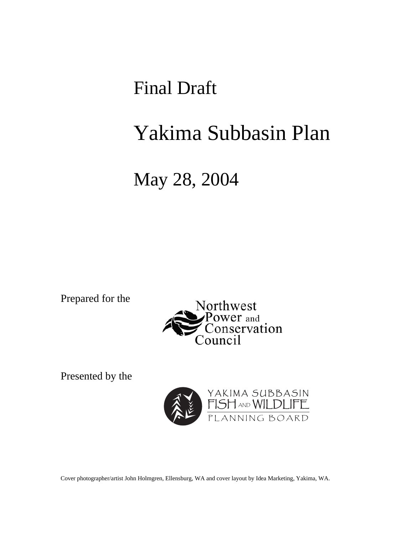Final Draft

# Yakima Subbasin Plan

# May 28, 2004

Prepared for the



Presented by the



Cover photographer/artist John Holmgren, Ellensburg, WA and cover layout by Idea Marketing, Yakima, WA.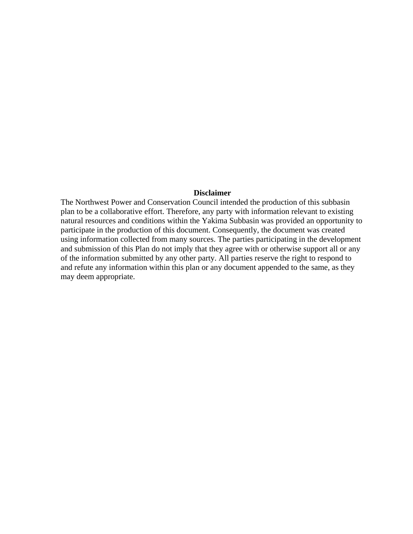#### **Disclaimer**

The Northwest Power and Conservation Council intended the production of this subbasin plan to be a collaborative effort. Therefore, any party with information relevant to existing natural resources and conditions within the Yakima Subbasin was provided an opportunity to participate in the production of this document. Consequently, the document was created using information collected from many sources. The parties participating in the development and submission of this Plan do not imply that they agree with or otherwise support all or any of the information submitted by any other party. All parties reserve the right to respond to and refute any information within this plan or any document appended to the same, as they may deem appropriate.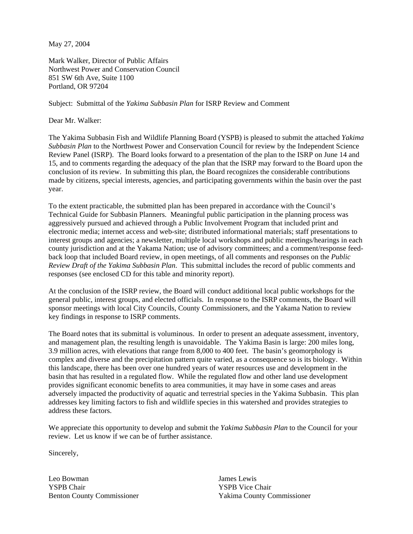May 27, 2004

Mark Walker, Director of Public Affairs Northwest Power and Conservation Council 851 SW 6th Ave, Suite 1100 Portland, OR 97204

Subject: Submittal of the *Yakima Subbasin Plan* for ISRP Review and Comment

Dear Mr. Walker:

The Yakima Subbasin Fish and Wildlife Planning Board (YSPB) is pleased to submit the attached *Yakima Subbasin Plan* to the Northwest Power and Conservation Council for review by the Independent Science Review Panel (ISRP). The Board looks forward to a presentation of the plan to the ISRP on June 14 and 15, and to comments regarding the adequacy of the plan that the ISRP may forward to the Board upon the conclusion of its review. In submitting this plan, the Board recognizes the considerable contributions made by citizens, special interests, agencies, and participating governments within the basin over the past year.

To the extent practicable, the submitted plan has been prepared in accordance with the Council's Technical Guide for Subbasin Planners. Meaningful public participation in the planning process was aggressively pursued and achieved through a Public Involvement Program that included print and electronic media; internet access and web-site; distributed informational materials; staff presentations to interest groups and agencies; a newsletter, multiple local workshops and public meetings/hearings in each county jurisdiction and at the Yakama Nation; use of advisory committees; and a comment/response feedback loop that included Board review, in open meetings, of all comments and responses on the *Public Review Draft of the Yakima Subbasin Plan*. This submittal includes the record of public comments and responses (see enclosed CD for this table and minority report).

At the conclusion of the ISRP review, the Board will conduct additional local public workshops for the general public, interest groups, and elected officials. In response to the ISRP comments, the Board will sponsor meetings with local City Councils, County Commissioners, and the Yakama Nation to review key findings in response to ISRP comments.

The Board notes that its submittal is voluminous. In order to present an adequate assessment, inventory, and management plan, the resulting length is unavoidable. The Yakima Basin is large: 200 miles long, 3.9 million acres, with elevations that range from 8,000 to 400 feet. The basin's geomorphology is complex and diverse and the precipitation pattern quite varied, as a consequence so is its biology. Within this landscape, there has been over one hundred years of water resources use and development in the basin that has resulted in a regulated flow. While the regulated flow and other land use development provides significant economic benefits to area communities, it may have in some cases and areas adversely impacted the productivity of aquatic and terrestrial species in the Yakima Subbasin. This plan addresses key limiting factors to fish and wildlife species in this watershed and provides strategies to address these factors.

We appreciate this opportunity to develop and submit the *Yakima Subbasin Plan* to the Council for your review. Let us know if we can be of further assistance.

Sincerely,

Leo Bowman James Lewis YSPB Chair YSPB Vice Chair

Benton County Commissioner Yakima County Commissioner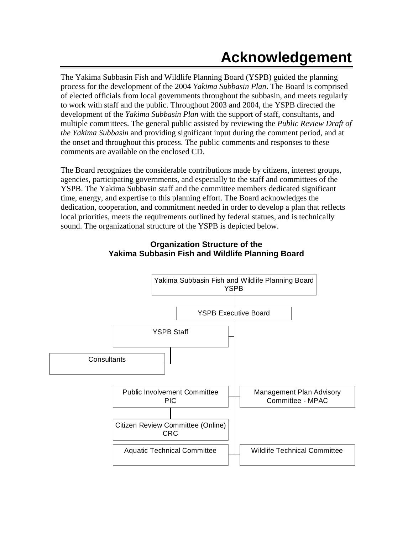# **Acknowledgement**

The Yakima Subbasin Fish and Wildlife Planning Board (YSPB) guided the planning process for the development of the 2004 *Yakima Subbasin Plan*. The Board is comprised of elected officials from local governments throughout the subbasin, and meets regularly to work with staff and the public. Throughout 2003 and 2004, the YSPB directed the development of the *Yakima Subbasin Plan* with the support of staff, consultants, and multiple committees. The general public assisted by reviewing the *Public Review Draft of the Yakima Subbasin* and providing significant input during the comment period, and at the onset and throughout this process. The public comments and responses to these comments are available on the enclosed CD.

The Board recognizes the considerable contributions made by citizens, interest groups, agencies, participating governments, and especially to the staff and committees of the YSPB. The Yakima Subbasin staff and the committee members dedicated significant time, energy, and expertise to this planning effort. The Board acknowledges the dedication, cooperation, and commitment needed in order to develop a plan that reflects local priorities, meets the requirements outlined by federal statues, and is technically sound. The organizational structure of the YSPB is depicted below.



#### **Organization Structure of the Yakima Subbasin Fish and Wildlife Planning Board**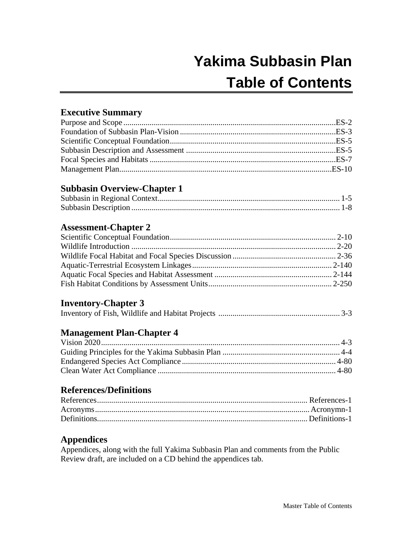# **Yakima Subbasin Plan Table of Contents**

### **Executive Summary**

### **Subbasin Overview-Chapter 1**

### **Assessment-Chapter 2**

### **Inventory-Chapter 3**

### **Management Plan-Chapter 4**

### **References/Definitions**

### **Appendices**

Appendices, along with the full Yakima Subbasin Plan and comments from the Public Review draft, are included on a CD behind the appendices tab.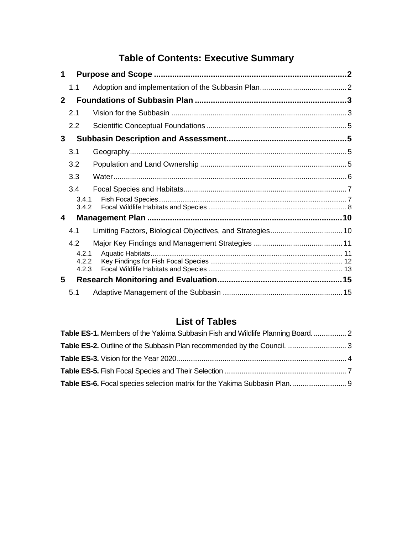# **Table of Contents: Executive Summary**

| 1            |                |                                                            |  |
|--------------|----------------|------------------------------------------------------------|--|
|              | 1.1            |                                                            |  |
| $\mathbf{2}$ |                |                                                            |  |
|              | 2.1            |                                                            |  |
|              | 2.2            |                                                            |  |
| 3            |                |                                                            |  |
|              | 3.1            |                                                            |  |
|              | 3.2            |                                                            |  |
|              | 3.3            |                                                            |  |
|              | 3.4            |                                                            |  |
|              | 3.4.1          |                                                            |  |
|              | 3.4.2          |                                                            |  |
| 4            |                |                                                            |  |
|              | 4.1            | Limiting Factors, Biological Objectives, and Strategies 10 |  |
|              | 4.2            |                                                            |  |
|              | 4.2.1          |                                                            |  |
|              | 4.2.2<br>4.2.3 |                                                            |  |
| 5            |                |                                                            |  |
|              | 5.1            |                                                            |  |

## **List of Tables**

| Table ES-1. Members of the Yakima Subbasin Fish and Wildlife Planning Board.  2 |  |
|---------------------------------------------------------------------------------|--|
|                                                                                 |  |
|                                                                                 |  |
|                                                                                 |  |
| Table ES-6. Focal species selection matrix for the Yakima Subbasin Plan.  9     |  |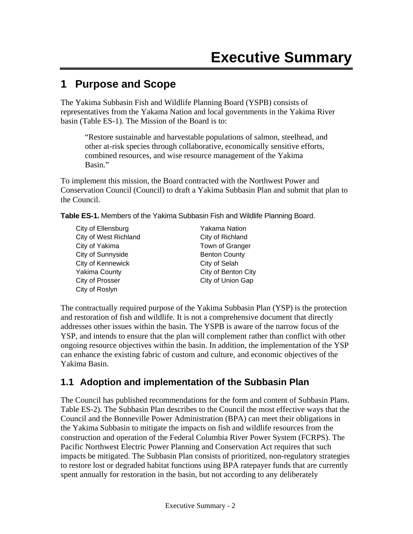## **1 Purpose and Scope**

The Yakima Subbasin Fish and Wildlife Planning Board (YSPB) consists of representatives from the Yakama Nation and local governments in the Yakima River basin (Table ES-1). The Mission of the Board is to:

"Restore sustainable and harvestable populations of salmon, steelhead, and other at-risk species through collaborative, economically sensitive efforts, combined resources, and wise resource management of the Yakima Basin."

To implement this mission, the Board contracted with the Northwest Power and Conservation Council (Council) to draft a Yakima Subbasin Plan and submit that plan to the Council.

**Table ES-1.** Members of the Yakima Subbasin Fish and Wildlife Planning Board.

| City of Ellensburg           | Y |
|------------------------------|---|
| <b>City of West Richland</b> | С |
| City of Yakima               | т |
| City of Sunnyside            | в |
| City of Kennewick            | С |
| <b>Yakima County</b>         | С |
| City of Prosser              | С |
| City of Roslyn               |   |

akama Nation ity of Richland own of Granger enton County ity of Selah ity of Benton City ity of Union Gap

The contractually required purpose of the Yakima Subbasin Plan (YSP) is the protection and restoration of fish and wildlife. It is not a comprehensive document that directly addresses other issues within the basin. The YSPB is aware of the narrow focus of the YSP, and intends to ensure that the plan will complement rather than conflict with other ongoing resource objectives within the basin. In addition, the implementation of the YSP can enhance the existing fabric of custom and culture, and economic objectives of the Yakima Basin.

### **1.1 Adoption and implementation of the Subbasin Plan**

The Council has published recommendations for the form and content of Subbasin Plans. Table ES-2). The Subbasin Plan describes to the Council the most effective ways that the Council and the Bonneville Power Administration (BPA) can meet their obligations in the Yakima Subbasin to mitigate the impacts on fish and wildlife resources from the construction and operation of the Federal Columbia River Power System (FCRPS). The Pacific Northwest Electric Power Planning and Conservation Act requires that such impacts be mitigated. The Subbasin Plan consists of prioritized, non-regulatory strategies to restore lost or degraded habitat functions using BPA ratepayer funds that are currently spent annually for restoration in the basin, but not according to any deliberately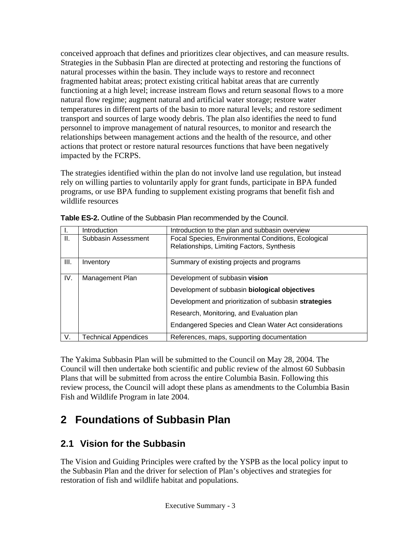conceived approach that defines and prioritizes clear objectives, and can measure results. Strategies in the Subbasin Plan are directed at protecting and restoring the functions of natural processes within the basin. They include ways to restore and reconnect fragmented habitat areas; protect existing critical habitat areas that are currently functioning at a high level; increase instream flows and return seasonal flows to a more natural flow regime; augment natural and artificial water storage; restore water temperatures in different parts of the basin to more natural levels; and restore sediment transport and sources of large woody debris. The plan also identifies the need to fund personnel to improve management of natural resources, to monitor and research the relationships between management actions and the health of the resource, and other actions that protect or restore natural resources functions that have been negatively impacted by the FCRPS.

The strategies identified within the plan do not involve land use regulation, but instead rely on willing parties to voluntarily apply for grant funds, participate in BPA funded programs, or use BPA funding to supplement existing programs that benefit fish and wildlife resources

|      | Introduction                | Introduction to the plan and subbasin overview        |  |
|------|-----------------------------|-------------------------------------------------------|--|
| Ш.   | Subbasin Assessment         | Focal Species, Environmental Conditions, Ecological   |  |
|      |                             | Relationships, Limiting Factors, Synthesis            |  |
|      |                             |                                                       |  |
| III. | Inventory                   | Summary of existing projects and programs             |  |
|      |                             |                                                       |  |
| IV.  | Management Plan             | Development of subbasin vision                        |  |
|      |                             | Development of subbasin biological objectives         |  |
|      |                             | Development and prioritization of subbasin strategies |  |
|      |                             | Research, Monitoring, and Evaluation plan             |  |
|      |                             | Endangered Species and Clean Water Act considerations |  |
| V.   | <b>Technical Appendices</b> | References, maps, supporting documentation            |  |

|  | Table ES-2. Outline of the Subbasin Plan recommended by the Council. |  |  |
|--|----------------------------------------------------------------------|--|--|
|--|----------------------------------------------------------------------|--|--|

The Yakima Subbasin Plan will be submitted to the Council on May 28, 2004. The Council will then undertake both scientific and public review of the almost 60 Subbasin Plans that will be submitted from across the entire Columbia Basin. Following this review process, the Council will adopt these plans as amendments to the Columbia Basin Fish and Wildlife Program in late 2004.

# **2 Foundations of Subbasin Plan**

## **2.1 Vision for the Subbasin**

The Vision and Guiding Principles were crafted by the YSPB as the local policy input to the Subbasin Plan and the driver for selection of Plan's objectives and strategies for restoration of fish and wildlife habitat and populations.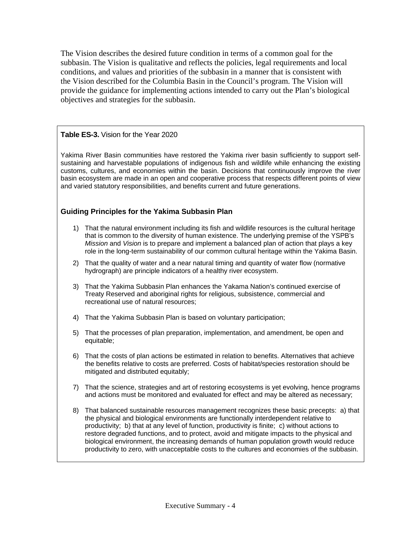The Vision describes the desired future condition in terms of a common goal for the subbasin. The Vision is qualitative and reflects the policies, legal requirements and local conditions, and values and priorities of the subbasin in a manner that is consistent with the Vision described for the Columbia Basin in the Council's program. The Vision will provide the guidance for implementing actions intended to carry out the Plan's biological objectives and strategies for the subbasin.

#### **Table ES-3.** Vision for the Year 2020

Yakima River Basin communities have restored the Yakima river basin sufficiently to support selfsustaining and harvestable populations of indigenous fish and wildlife while enhancing the existing customs, cultures, and economies within the basin. Decisions that continuously improve the river basin ecosystem are made in an open and cooperative process that respects different points of view and varied statutory responsibilities, and benefits current and future generations.

#### **Guiding Principles for the Yakima Subbasin Plan**

- 1) That the natural environment including its fish and wildlife resources is the cultural heritage that is common to the diversity of human existence. The underlying premise of the YSPB's *Mission* and *Vision* is to prepare and implement a balanced plan of action that plays a key role in the long-term sustainability of our common cultural heritage within the Yakima Basin.
- 2) That the quality of water and a near natural timing and quantity of water flow (normative hydrograph) are principle indicators of a healthy river ecosystem.
- 3) That the Yakima Subbasin Plan enhances the Yakama Nation's continued exercise of Treaty Reserved and aboriginal rights for religious, subsistence, commercial and recreational use of natural resources;
- 4) That the Yakima Subbasin Plan is based on voluntary participation;
- 5) That the processes of plan preparation, implementation, and amendment, be open and equitable;
- 6) That the costs of plan actions be estimated in relation to benefits. Alternatives that achieve the benefits relative to costs are preferred. Costs of habitat/species restoration should be mitigated and distributed equitably;
- 7) That the science, strategies and art of restoring ecosystems is yet evolving, hence programs and actions must be monitored and evaluated for effect and may be altered as necessary;
- 8) That balanced sustainable resources management recognizes these basic precepts: a) that the physical and biological environments are functionally interdependent relative to productivity; b) that at any level of function, productivity is finite; c) without actions to restore degraded functions, and to protect, avoid and mitigate impacts to the physical and biological environment, the increasing demands of human population growth would reduce productivity to zero, with unacceptable costs to the cultures and economies of the subbasin.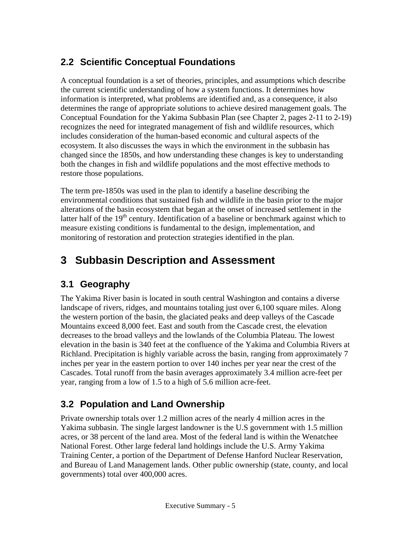## **2.2 Scientific Conceptual Foundations**

A conceptual foundation is a set of theories, principles, and assumptions which describe the current scientific understanding of how a system functions. It determines how information is interpreted, what problems are identified and, as a consequence, it also determines the range of appropriate solutions to achieve desired management goals. The Conceptual Foundation for the Yakima Subbasin Plan (see Chapter 2, pages 2-11 to 2-19) recognizes the need for integrated management of fish and wildlife resources, which includes consideration of the human-based economic and cultural aspects of the ecosystem. It also discusses the ways in which the environment in the subbasin has changed since the 1850s, and how understanding these changes is key to understanding both the changes in fish and wildlife populations and the most effective methods to restore those populations.

The term pre-1850s was used in the plan to identify a baseline describing the environmental conditions that sustained fish and wildlife in the basin prior to the major alterations of the basin ecosystem that began at the onset of increased settlement in the latter half of the  $19<sup>th</sup>$  century. Identification of a baseline or benchmark against which to measure existing conditions is fundamental to the design, implementation, and monitoring of restoration and protection strategies identified in the plan.

# **3 Subbasin Description and Assessment**

## **3.1 Geography**

The Yakima River basin is located in south central Washington and contains a diverse landscape of rivers, ridges, and mountains totaling just over 6,100 square miles. Along the western portion of the basin, the glaciated peaks and deep valleys of the Cascade Mountains exceed 8,000 feet. East and south from the Cascade crest, the elevation decreases to the broad valleys and the lowlands of the Columbia Plateau. The lowest elevation in the basin is 340 feet at the confluence of the Yakima and Columbia Rivers at Richland. Precipitation is highly variable across the basin, ranging from approximately 7 inches per year in the eastern portion to over 140 inches per year near the crest of the Cascades. Total runoff from the basin averages approximately 3.4 million acre-feet per year, ranging from a low of 1.5 to a high of 5.6 million acre-feet.

## **3.2 Population and Land Ownership**

Private ownership totals over 1.2 million acres of the nearly 4 million acres in the Yakima subbasin. The single largest landowner is the U.S government with 1.5 million acres, or 38 percent of the land area. Most of the federal land is within the Wenatchee National Forest. Other large federal land holdings include the U.S. Army Yakima Training Center, a portion of the Department of Defense Hanford Nuclear Reservation, and Bureau of Land Management lands. Other public ownership (state, county, and local governments) total over 400,000 acres.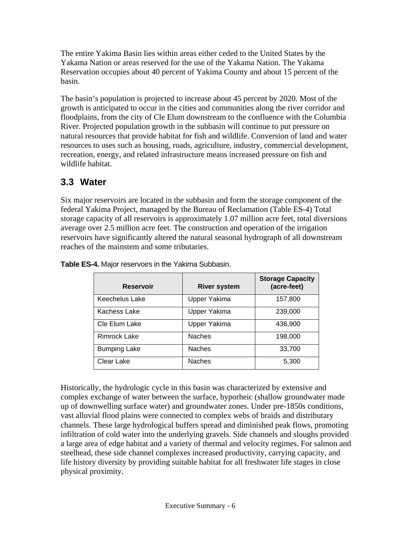The entire Yakima Basin lies within areas either ceded to the United States by the Yakama Nation or areas reserved for the use of the Yakama Nation. The Yakama Reservation occupies about 40 percent of Yakima County and about 15 percent of the basin.

The basin's population is projected to increase about 45 percent by 2020. Most of the growth is anticipated to occur in the cities and communities along the river corridor and floodplains, from the city of Cle Elum downstream to the confluence with the Columbia River. Projected population growth in the subbasin will continue to put pressure on natural resources that provide habitat for fish and wildlife. Conversion of land and water resources to uses such as housing, roads, agriculture, industry, commercial development, recreation, energy, and related infrastructure means increased pressure on fish and wildlife habitat.

### **3.3 Water**

Six major reservoirs are located in the subbasin and form the storage component of the federal Yakima Project, managed by the Bureau of Reclamation (Table ES-4) Total storage capacity of all reservoirs is approximately 1.07 million acre feet, total diversions average over 2.5 million acre feet. The construction and operation of the irrigation reservoirs have significantly altered the natural seasonal hydrograph of all downstream reaches of the mainstem and some tributaries.

| <b>Reservoir</b>    | <b>River system</b> | <b>Storage Capacity</b><br>(acre-feet) |
|---------------------|---------------------|----------------------------------------|
| Keechelus Lake      | Upper Yakima        | 157,800                                |
| Kachess Lake        | Upper Yakima        | 239,000                                |
| Cle Elum Lake       | Upper Yakima        | 436,900                                |
| <b>Rimrock Lake</b> | <b>Naches</b>       | 198,000                                |
| <b>Bumping Lake</b> | <b>Naches</b>       | 33,700                                 |
| Clear Lake          | <b>Naches</b>       | 5,300                                  |

**Table ES-4.** Major reservoirs in the Yakima Subbasin.

Historically, the hydrologic cycle in this basin was characterized by extensive and complex exchange of water between the surface, hyporheic (shallow groundwater made up of downwelling surface water) and groundwater zones. Under pre-1850s conditions, vast alluvial flood plains were connected to complex webs of braids and distributary channels. These large hydrological buffers spread and diminished peak flows, promoting infiltration of cold water into the underlying gravels. Side channels and sloughs provided a large area of edge habitat and a variety of thermal and velocity regimes. For salmon and steelhead, these side channel complexes increased productivity, carrying capacity, and life history diversity by providing suitable habitat for all freshwater life stages in close physical proximity.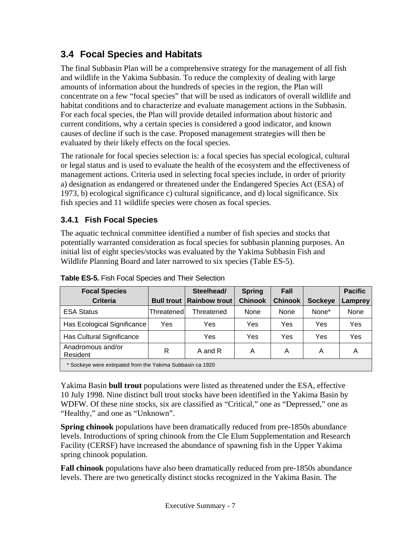### **3.4 Focal Species and Habitats**

The final Subbasin Plan will be a comprehensive strategy for the management of all fish and wildlife in the Yakima Subbasin. To reduce the complexity of dealing with large amounts of information about the hundreds of species in the region, the Plan will concentrate on a few "focal species" that will be used as indicators of overall wildlife and habitat conditions and to characterize and evaluate management actions in the Subbasin. For each focal species, the Plan will provide detailed information about historic and current conditions, why a certain species is considered a good indicator, and known causes of decline if such is the case. Proposed management strategies will then be evaluated by their likely effects on the focal species.

The rationale for focal species selection is: a focal species has special ecological, cultural or legal status and is used to evaluate the health of the ecosystem and the effectiveness of management actions. Criteria used in selecting focal species include, in order of priority a) designation as endangered or threatened under the Endangered Species Act (ESA) of 1973, b) ecological significance c) cultural significance, and d) local significance. Six fish species and 11 wildlife species were chosen as focal species.

### **3.4.1 Fish Focal Species**

The aquatic technical committee identified a number of fish species and stocks that potentially warranted consideration as focal species for subbasin planning purposes. An initial list of eight species/stocks was evaluated by the Yakima Subbasin Fish and Wildlife Planning Board and later narrowed to six species (Table ES-5).

| <b>Focal Species</b>                                       |                   | Steelhead/    | <b>Spring</b>  | Fall           |                | <b>Pacific</b> |  |  |  |
|------------------------------------------------------------|-------------------|---------------|----------------|----------------|----------------|----------------|--|--|--|
| <b>Criteria</b>                                            | <b>Bull trout</b> | Rainbow trout | <b>Chinook</b> | <b>Chinook</b> | <b>Sockeye</b> | Lamprey        |  |  |  |
| <b>ESA Status</b>                                          | Threatenedl       | Threatened    | None           | None           | None*          | None           |  |  |  |
| Has Ecological Significance                                | Yes               | Yes           | Yes            | Yes            | Yes            | Yes            |  |  |  |
| Has Cultural Significance                                  |                   | Yes           | Yes            | Yes            | Yes            | Yes            |  |  |  |
| Anadromous and/or<br>Resident                              | R                 | A and R       | A              | A              | Α              | A              |  |  |  |
| * Sockeye were extirpated from the Yakima Subbasin ca 1920 |                   |               |                |                |                |                |  |  |  |

**Table ES-5.** Fish Focal Species and Their Selection

Yakima Basin **bull trout** populations were listed as threatened under the ESA, effective 10 July 1998. Nine distinct bull trout stocks have been identified in the Yakima Basin by WDFW. Of these nine stocks, six are classified as "Critical," one as "Depressed," one as "Healthy," and one as "Unknown".

**Spring chinook** populations have been dramatically reduced from pre-1850s abundance levels. Introductions of spring chinook from the Cle Elum Supplementation and Research Facility (CERSF) have increased the abundance of spawning fish in the Upper Yakima spring chinook population.

**Fall chinook** populations have also been dramatically reduced from pre-1850s abundance levels. There are two genetically distinct stocks recognized in the Yakima Basin. The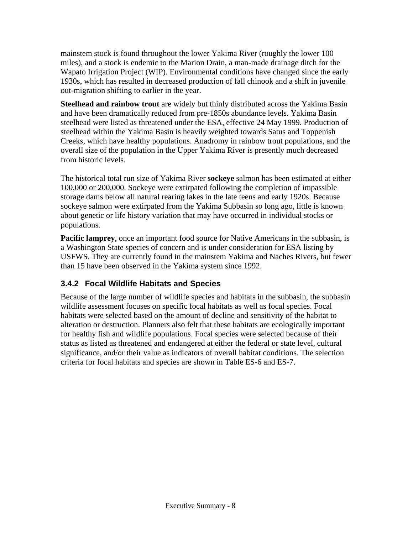mainstem stock is found throughout the lower Yakima River (roughly the lower 100 miles), and a stock is endemic to the Marion Drain, a man-made drainage ditch for the Wapato Irrigation Project (WIP). Environmental conditions have changed since the early 1930s, which has resulted in decreased production of fall chinook and a shift in juvenile out-migration shifting to earlier in the year.

**Steelhead and rainbow trout** are widely but thinly distributed across the Yakima Basin and have been dramatically reduced from pre-1850s abundance levels. Yakima Basin steelhead were listed as threatened under the ESA, effective 24 May 1999. Production of steelhead within the Yakima Basin is heavily weighted towards Satus and Toppenish Creeks, which have healthy populations. Anadromy in rainbow trout populations, and the overall size of the population in the Upper Yakima River is presently much decreased from historic levels.

The historical total run size of Yakima River **sockeye** salmon has been estimated at either 100,000 or 200,000. Sockeye were extirpated following the completion of impassible storage dams below all natural rearing lakes in the late teens and early 1920s. Because sockeye salmon were extirpated from the Yakima Subbasin so long ago, little is known about genetic or life history variation that may have occurred in individual stocks or populations.

**Pacific lamprey**, once an important food source for Native Americans in the subbasin, is a Washington State species of concern and is under consideration for ESA listing by USFWS. They are currently found in the mainstem Yakima and Naches Rivers, but fewer than 15 have been observed in the Yakima system since 1992.

### **3.4.2 Focal Wildlife Habitats and Species**

Because of the large number of wildlife species and habitats in the subbasin, the subbasin wildlife assessment focuses on specific focal habitats as well as focal species. Focal habitats were selected based on the amount of decline and sensitivity of the habitat to alteration or destruction. Planners also felt that these habitats are ecologically important for healthy fish and wildlife populations. Focal species were selected because of their status as listed as threatened and endangered at either the federal or state level, cultural significance, and/or their value as indicators of overall habitat conditions. The selection criteria for focal habitats and species are shown in Table ES-6 and ES-7.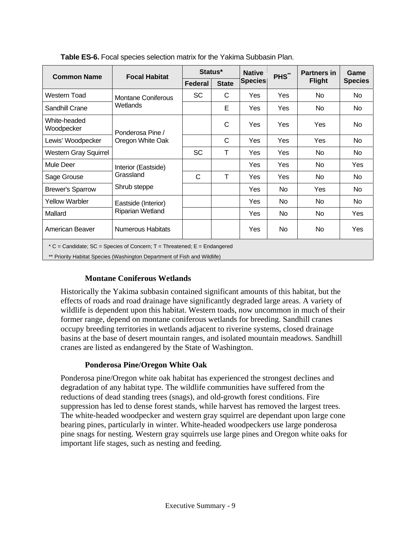| <b>Common Name</b>                                                                                                                                   | <b>Focal Habitat</b>                             | Status*        |              | <b>Native</b>  | PHS <sup>**</sup> | <b>Partners in</b> | Game           |  |  |
|------------------------------------------------------------------------------------------------------------------------------------------------------|--------------------------------------------------|----------------|--------------|----------------|-------------------|--------------------|----------------|--|--|
|                                                                                                                                                      |                                                  | <b>Federal</b> | <b>State</b> | <b>Species</b> |                   | <b>Flight</b>      | <b>Species</b> |  |  |
| Western Toad                                                                                                                                         | <b>Montane Coniferous</b><br>Wetlands            | <b>SC</b>      | C            | Yes            | <b>Yes</b>        | <b>No</b>          | No             |  |  |
| Sandhill Crane                                                                                                                                       |                                                  |                | Е            | <b>Yes</b>     | Yes               | No.                | No.            |  |  |
| White-headed<br>Woodpecker                                                                                                                           | Ponderosa Pine /<br>Oregon White Oak             |                | C            | Yes            | Yes               | Yes                | No.            |  |  |
| Lewis' Woodpecker                                                                                                                                    |                                                  |                | C            | <b>Yes</b>     | Yes               | Yes                | No             |  |  |
| <b>Western Gray Squirrel</b>                                                                                                                         |                                                  | <b>SC</b>      | T            | Yes            | Yes               | No.                | No.            |  |  |
| Mule Deer                                                                                                                                            | Interior (Eastside)<br>Grassland<br>Shrub steppe |                |              | Yes            | <b>Yes</b>        | No                 | Yes            |  |  |
| Sage Grouse                                                                                                                                          |                                                  | C              | T            | <b>Yes</b>     | <b>Yes</b>        | No                 | No             |  |  |
| <b>Brewer's Sparrow</b>                                                                                                                              |                                                  |                |              | Yes            | No.               | <b>Yes</b>         | No.            |  |  |
| <b>Yellow Warbler</b>                                                                                                                                | Eastside (Interior)<br>Riparian Wetland          |                |              | <b>Yes</b>     | No.               | No.                | No.            |  |  |
| Mallard                                                                                                                                              |                                                  |                |              | <b>Yes</b>     | No.               | No                 | Yes            |  |  |
| American Beaver                                                                                                                                      | <b>Numerous Habitats</b>                         |                |              | Yes            | No.               | No.                | Yes            |  |  |
| * C = Candidate; SC = Species of Concern; T = Threatened; E = Endangered<br>** Priority Habitat Species (Washington Department of Fish and Wildlife) |                                                  |                |              |                |                   |                    |                |  |  |

**Table ES-6.** Focal species selection matrix for the Yakima Subbasin Plan.

#### **Montane Coniferous Wetlands**

Historically the Yakima subbasin contained significant amounts of this habitat, but the effects of roads and road drainage have significantly degraded large areas. A variety of wildlife is dependent upon this habitat. Western toads, now uncommon in much of their former range, depend on montane coniferous wetlands for breeding. Sandhill cranes occupy breeding territories in wetlands adjacent to riverine systems, closed drainage basins at the base of desert mountain ranges, and isolated mountain meadows. Sandhill cranes are listed as endangered by the State of Washington.

#### **Ponderosa Pine/Oregon White Oak**

Ponderosa pine/Oregon white oak habitat has experienced the strongest declines and degradation of any habitat type. The wildlife communities have suffered from the reductions of dead standing trees (snags), and old-growth forest conditions. Fire suppression has led to dense forest stands, while harvest has removed the largest trees. The white-headed woodpecker and western gray squirrel are dependant upon large cone bearing pines, particularly in winter. White-headed woodpeckers use large ponderosa pine snags for nesting. Western gray squirrels use large pines and Oregon white oaks for important life stages, such as nesting and feeding.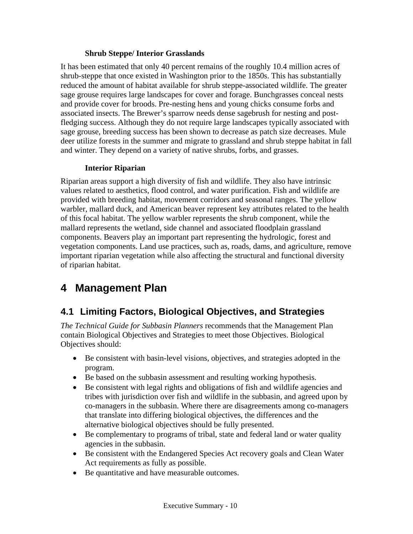#### **Shrub Steppe/ Interior Grasslands**

It has been estimated that only 40 percent remains of the roughly 10.4 million acres of shrub-steppe that once existed in Washington prior to the 1850s. This has substantially reduced the amount of habitat available for shrub steppe-associated wildlife. The greater sage grouse requires large landscapes for cover and forage. Bunchgrasses conceal nests and provide cover for broods. Pre-nesting hens and young chicks consume forbs and associated insects. The Brewer's sparrow needs dense sagebrush for nesting and postfledging success. Although they do not require large landscapes typically associated with sage grouse, breeding success has been shown to decrease as patch size decreases. Mule deer utilize forests in the summer and migrate to grassland and shrub steppe habitat in fall and winter. They depend on a variety of native shrubs, forbs, and grasses.

#### **Interior Riparian**

Riparian areas support a high diversity of fish and wildlife. They also have intrinsic values related to aesthetics, flood control, and water purification. Fish and wildlife are provided with breeding habitat, movement corridors and seasonal ranges. The yellow warbler, mallard duck, and American beaver represent key attributes related to the health of this focal habitat. The yellow warbler represents the shrub component, while the mallard represents the wetland, side channel and associated floodplain grassland components. Beavers play an important part representing the hydrologic, forest and vegetation components. Land use practices, such as, roads, dams, and agriculture, remove important riparian vegetation while also affecting the structural and functional diversity of riparian habitat.

## **4 Management Plan**

### **4.1 Limiting Factors, Biological Objectives, and Strategies**

*The Technical Guide for Subbasin Planners* recommends that the Management Plan contain Biological Objectives and Strategies to meet those Objectives. Biological Objectives should:

- Be consistent with basin-level visions, objectives, and strategies adopted in the program.
- Be based on the subbasin assessment and resulting working hypothesis.
- Be consistent with legal rights and obligations of fish and wildlife agencies and tribes with jurisdiction over fish and wildlife in the subbasin, and agreed upon by co-managers in the subbasin. Where there are disagreements among co-managers that translate into differing biological objectives, the differences and the alternative biological objectives should be fully presented.
- Be complementary to programs of tribal, state and federal land or water quality agencies in the subbasin.
- Be consistent with the Endangered Species Act recovery goals and Clean Water Act requirements as fully as possible.
- Be quantitative and have measurable outcomes.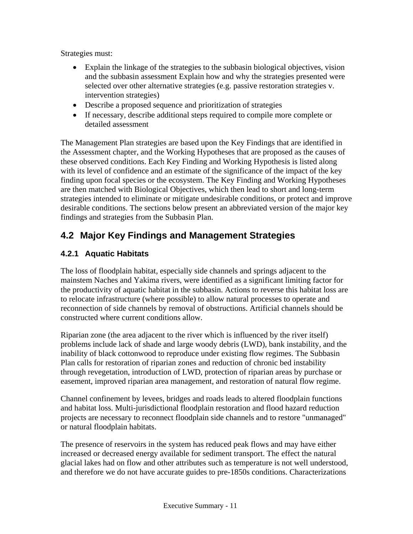Strategies must:

- Explain the linkage of the strategies to the subbasin biological objectives, vision and the subbasin assessment Explain how and why the strategies presented were selected over other alternative strategies (e.g. passive restoration strategies v. intervention strategies)
- Describe a proposed sequence and prioritization of strategies
- If necessary, describe additional steps required to compile more complete or detailed assessment

The Management Plan strategies are based upon the Key Findings that are identified in the Assessment chapter, and the Working Hypotheses that are proposed as the causes of these observed conditions. Each Key Finding and Working Hypothesis is listed along with its level of confidence and an estimate of the significance of the impact of the key finding upon focal species or the ecosystem. The Key Finding and Working Hypotheses are then matched with Biological Objectives, which then lead to short and long-term strategies intended to eliminate or mitigate undesirable conditions, or protect and improve desirable conditions. The sections below present an abbreviated version of the major key findings and strategies from the Subbasin Plan.

### **4.2 Major Key Findings and Management Strategies**

#### **4.2.1 Aquatic Habitats**

The loss of floodplain habitat, especially side channels and springs adjacent to the mainstem Naches and Yakima rivers, were identified as a significant limiting factor for the productivity of aquatic habitat in the subbasin. Actions to reverse this habitat loss are to relocate infrastructure (where possible) to allow natural processes to operate and reconnection of side channels by removal of obstructions. Artificial channels should be constructed where current conditions allow.

Riparian zone (the area adjacent to the river which is influenced by the river itself) problems include lack of shade and large woody debris (LWD), bank instability, and the inability of black cottonwood to reproduce under existing flow regimes. The Subbasin Plan calls for restoration of riparian zones and reduction of chronic bed instability through revegetation, introduction of LWD, protection of riparian areas by purchase or easement, improved riparian area management, and restoration of natural flow regime.

Channel confinement by levees, bridges and roads leads to altered floodplain functions and habitat loss. Multi-jurisdictional floodplain restoration and flood hazard reduction projects are necessary to reconnect floodplain side channels and to restore "unmanaged" or natural floodplain habitats.

The presence of reservoirs in the system has reduced peak flows and may have either increased or decreased energy available for sediment transport. The effect the natural glacial lakes had on flow and other attributes such as temperature is not well understood, and therefore we do not have accurate guides to pre-1850s conditions. Characterizations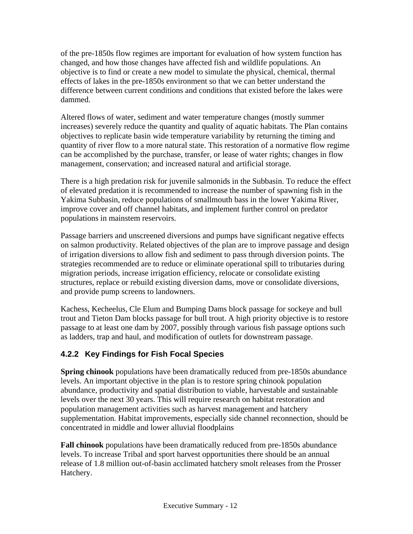of the pre-1850s flow regimes are important for evaluation of how system function has changed, and how those changes have affected fish and wildlife populations. An objective is to find or create a new model to simulate the physical, chemical, thermal effects of lakes in the pre-1850s environment so that we can better understand the difference between current conditions and conditions that existed before the lakes were dammed.

Altered flows of water, sediment and water temperature changes (mostly summer increases) severely reduce the quantity and quality of aquatic habitats. The Plan contains objectives to replicate basin wide temperature variability by returning the timing and quantity of river flow to a more natural state. This restoration of a normative flow regime can be accomplished by the purchase, transfer, or lease of water rights; changes in flow management, conservation; and increased natural and artificial storage.

There is a high predation risk for juvenile salmonids in the Subbasin. To reduce the effect of elevated predation it is recommended to increase the number of spawning fish in the Yakima Subbasin, reduce populations of smallmouth bass in the lower Yakima River, improve cover and off channel habitats, and implement further control on predator populations in mainstem reservoirs.

Passage barriers and unscreened diversions and pumps have significant negative effects on salmon productivity. Related objectives of the plan are to improve passage and design of irrigation diversions to allow fish and sediment to pass through diversion points. The strategies recommended are to reduce or eliminate operational spill to tributaries during migration periods, increase irrigation efficiency, relocate or consolidate existing structures, replace or rebuild existing diversion dams, move or consolidate diversions, and provide pump screens to landowners.

Kachess, Kecheelus, Cle Elum and Bumping Dams block passage for sockeye and bull trout and Tieton Dam blocks passage for bull trout. A high priority objective is to restore passage to at least one dam by 2007, possibly through various fish passage options such as ladders, trap and haul, and modification of outlets for downstream passage.

### **4.2.2 Key Findings for Fish Focal Species**

**Spring chinook** populations have been dramatically reduced from pre-1850s abundance levels. An important objective in the plan is to restore spring chinook population abundance, productivity and spatial distribution to viable, harvestable and sustainable levels over the next 30 years. This will require research on habitat restoration and population management activities such as harvest management and hatchery supplementation. Habitat improvements, especially side channel reconnection, should be concentrated in middle and lower alluvial floodplains

**Fall chinook** populations have been dramatically reduced from pre-1850s abundance levels. To increase Tribal and sport harvest opportunities there should be an annual release of 1.8 million out-of-basin acclimated hatchery smolt releases from the Prosser Hatchery.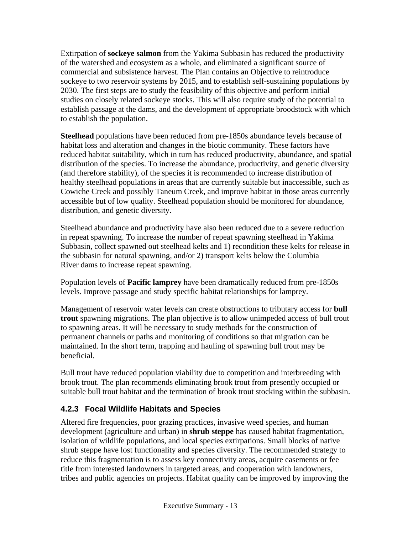Extirpation of **sockeye salmon** from the Yakima Subbasin has reduced the productivity of the watershed and ecosystem as a whole, and eliminated a significant source of commercial and subsistence harvest. The Plan contains an Objective to reintroduce sockeye to two reservoir systems by 2015, and to establish self-sustaining populations by 2030. The first steps are to study the feasibility of this objective and perform initial studies on closely related sockeye stocks. This will also require study of the potential to establish passage at the dams, and the development of appropriate broodstock with which to establish the population.

**Steelhead** populations have been reduced from pre-1850s abundance levels because of habitat loss and alteration and changes in the biotic community. These factors have reduced habitat suitability, which in turn has reduced productivity, abundance, and spatial distribution of the species. To increase the abundance, productivity, and genetic diversity (and therefore stability), of the species it is recommended to increase distribution of healthy steelhead populations in areas that are currently suitable but inaccessible, such as Cowiche Creek and possibly Taneum Creek, and improve habitat in those areas currently accessible but of low quality. Steelhead population should be monitored for abundance, distribution, and genetic diversity.

Steelhead abundance and productivity have also been reduced due to a severe reduction in repeat spawning. To increase the number of repeat spawning steelhead in Yakima Subbasin, collect spawned out steelhead kelts and 1) recondition these kelts for release in the subbasin for natural spawning, and/or 2) transport kelts below the Columbia River dams to increase repeat spawning.

Population levels of **Pacific lamprey** have been dramatically reduced from pre-1850s levels. Improve passage and study specific habitat relationships for lamprey.

Management of reservoir water levels can create obstructions to tributary access for **bull trout** spawning migrations. The plan objective is to allow unimpeded access of bull trout to spawning areas. It will be necessary to study methods for the construction of permanent channels or paths and monitoring of conditions so that migration can be maintained. In the short term, trapping and hauling of spawning bull trout may be beneficial.

Bull trout have reduced population viability due to competition and interbreeding with brook trout. The plan recommends eliminating brook trout from presently occupied or suitable bull trout habitat and the termination of brook trout stocking within the subbasin.

### **4.2.3 Focal Wildlife Habitats and Species**

Altered fire frequencies, poor grazing practices, invasive weed species, and human development (agriculture and urban) in **shrub steppe** has caused habitat fragmentation, isolation of wildlife populations, and local species extirpations. Small blocks of native shrub steppe have lost functionality and species diversity. The recommended strategy to reduce this fragmentation is to assess key connectivity areas, acquire easements or fee title from interested landowners in targeted areas, and cooperation with landowners, tribes and public agencies on projects. Habitat quality can be improved by improving the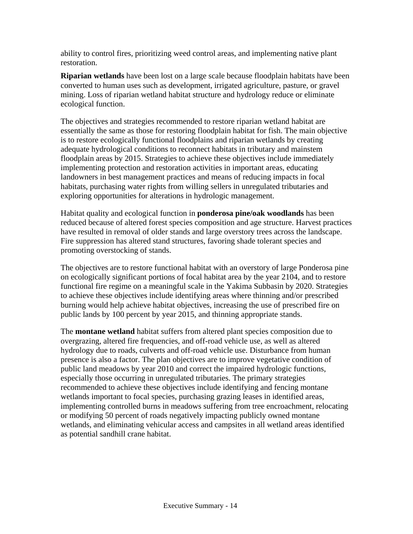ability to control fires, prioritizing weed control areas, and implementing native plant restoration.

**Riparian wetlands** have been lost on a large scale because floodplain habitats have been converted to human uses such as development, irrigated agriculture, pasture, or gravel mining. Loss of riparian wetland habitat structure and hydrology reduce or eliminate ecological function.

The objectives and strategies recommended to restore riparian wetland habitat are essentially the same as those for restoring floodplain habitat for fish. The main objective is to restore ecologically functional floodplains and riparian wetlands by creating adequate hydrological conditions to reconnect habitats in tributary and mainstem floodplain areas by 2015. Strategies to achieve these objectives include immediately implementing protection and restoration activities in important areas, educating landowners in best management practices and means of reducing impacts in focal habitats, purchasing water rights from willing sellers in unregulated tributaries and exploring opportunities for alterations in hydrologic management.

Habitat quality and ecological function in **ponderosa pine/oak woodlands** has been reduced because of altered forest species composition and age structure. Harvest practices have resulted in removal of older stands and large overstory trees across the landscape. Fire suppression has altered stand structures, favoring shade tolerant species and promoting overstocking of stands.

The objectives are to restore functional habitat with an overstory of large Ponderosa pine on ecologically significant portions of focal habitat area by the year 2104, and to restore functional fire regime on a meaningful scale in the Yakima Subbasin by 2020. Strategies to achieve these objectives include identifying areas where thinning and/or prescribed burning would help achieve habitat objectives, increasing the use of prescribed fire on public lands by 100 percent by year 2015, and thinning appropriate stands.

The **montane wetland** habitat suffers from altered plant species composition due to overgrazing, altered fire frequencies, and off-road vehicle use, as well as altered hydrology due to roads, culverts and off-road vehicle use. Disturbance from human presence is also a factor. The plan objectives are to improve vegetative condition of public land meadows by year 2010 and correct the impaired hydrologic functions, especially those occurring in unregulated tributaries. The primary strategies recommended to achieve these objectives include identifying and fencing montane wetlands important to focal species, purchasing grazing leases in identified areas, implementing controlled burns in meadows suffering from tree encroachment, relocating or modifying 50 percent of roads negatively impacting publicly owned montane wetlands, and eliminating vehicular access and campsites in all wetland areas identified as potential sandhill crane habitat.